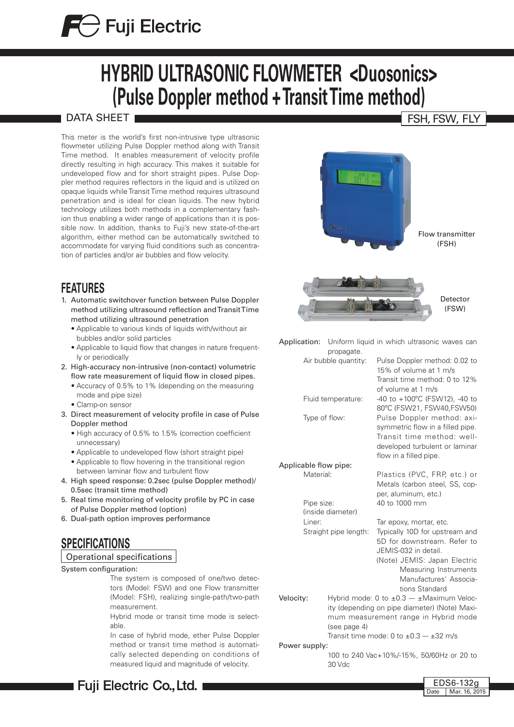# $\bigoplus$  Fuji Electric

# **HYBRID ULTRASONIC FLOWMETER <Duosonics> (Pulse Doppler method + Transit Time method)**

## DATA SHEET I

This meter is the world's first non-intrusive type ultrasonic flowmeter utilizing Pulse Doppler method along with Transit Time method. It enables measurement of velocity profile directly resulting in high accuracy. This makes it suitable for undeveloped flow and for short straight pipes. Pulse Doppler method requires reflectors in the liquid and is utilized on opaque liquids while Transit Time method requires ultrasound penetration and is ideal for clean liquids. The new hybrid technology utilizes both methods in a complementary fashion thus enabling a wider range of applications than it is possible now. In addition, thanks to Fuji's new state-of-the-art algorithm, either method can be automatically switched to accommodate for varying fluid conditions such as concentration of particles and/or air bubbles and flow velocity.

# **FEATURES**

- 1. Automatic switchover function between Pulse Doppler method utilizing ultrasound reflection and Transit Time method utilizing ultrasound penetration
	- Applicable to various kinds of liquids with/without air bubbles and/or solid particles
	- Applicable to liquid flow that changes in nature frequently or periodically
- 2. High-accuracy non-intrusive (non-contact) volumetric flow rate measurement of liquid flow in closed pipes.
	- Accuracy of 0.5% to 1% (depending on the measuring mode and pipe size)
	- Clamp-on sensor
- 3. Direct measurement of velocity profile in case of Pulse Doppler method
	- High accuracy of 0.5% to 1.5% (correction coefficient unnecessary)
	- Applicable to undeveloped flow (short straight pipe)
	- Applicable to flow hovering in the transitional region between laminar flow and turbulent flow
- 4. High speed response: 0.2sec (pulse Doppler method)/ 0.5sec (transit time method)
- 5. Real time monitoring of velocity profile by PC in case of Pulse Doppler method (option)
- 6. Dual-path option improves performance

# **SPECIFICATIONS**

#### Operational specifications

System configuration:

The system is composed of one/two detectors (Model: FSW) and one Flow transmitter (Model: FSH), realizing single-path/two-path measurement.

Hybrid mode or transit time mode is selectable.

In case of hybrid mode, ether Pulse Doppler method or transit time method is automatically selected depending on conditions of measured liquid and magnitude of velocity.

# Flow transmitter



Detector (FSW)

(FSH)

Application: Uniform liquid in which ultrasonic waves can propagate. Air bubble quantity: Pulse Doppler method: 0.02 to 15% of volume at 1 m/s

Fluid temperature: -40 to +100°C (FSW12), -40 to

Type of flow: Pulse Doppler method: axi-

Applicable flow pipe: Material: Plastics (PVC, FRP, etc.) or

Pipe size: 40 to 1000 mm Liner: Tar epoxy, mortar, etc. (inside diameter)

Straight pipe length: Typically 10D for upstream and

5D for downstream. Refer to JEMIS-032 in detail.

Transit time method: 0 to 12%

80ºC (FSW21, FSW40,FSW50)

symmetric flow in a filled pipe. Transit time method: welldeveloped turbulent or laminar

Metals (carbon steel, SS, cop-

of volume at 1 m/s

flow in a filled pipe.

per, aluminum, etc.)

(Note) JEMIS: Japan Electric Measuring Instruments Manufactures' Associations Standard

Velocity: Hybrid mode: 0 to  $\pm 0.3 - \pm \text{Maximum Velocity}$ : ity (depending on pipe diameter) (Note) Maximum measurement range in Hybrid mode (see page 4)

Transit time mode: 0 to  $\pm 0.3 - \pm 32$  m/s

Power supply:

100 to 240 Vac+10%/-15%, 50/60Hz or 20 to 30 Vdc

# FSH, FSW, FLY

Date Mar. 16, 2015 EDS6-132g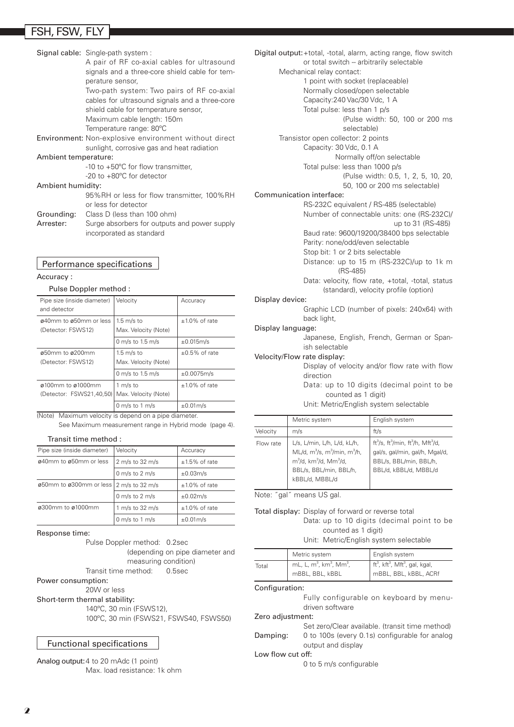# FSH, FSW, FLY

| Signal cable: Single-path system :<br>A pair of RF co-axial cables for ultrasound<br>signals and a three-core shield cable for tem-<br>perature sensor, |
|---------------------------------------------------------------------------------------------------------------------------------------------------------|
| Two-path system: Two pairs of RF co-axial<br>cables for ultrasound signals and a three-core<br>shield cable for temperature sensor,                     |
| Maximum cable length: 150m<br>Temperature range: 80°C                                                                                                   |
| <b>Environment:</b> Non-explosive environment without direct<br>sunlight, corrosive gas and heat radiation                                              |
| Ambient temperature:                                                                                                                                    |
| -10 to $+50^{\circ}$ C for flow transmitter,<br>-20 to +80°C for detector                                                                               |
| Ambient humidity:                                                                                                                                       |
| 95%RH or less for flow transmitter, 100%RH<br>or less for detector                                                                                      |
| <b>Grounding:</b> Class D (less than 100 ohm)                                                                                                           |
| Surge absorbers for outputs and power supply<br>incorporated as standard                                                                                |
|                                                                                                                                                         |

#### Performance specifications

#### Accuracy :

#### Pulse Doppler method :

| Pipe size (inside diameter)<br>and detector                   | Velocity                                     | Accuracy            |
|---------------------------------------------------------------|----------------------------------------------|---------------------|
| ø40mm to ø50mm or less<br>(Detector: FSWS12)                  | $1.5$ m/s to<br>Max. Velocity (Note)         | $±1.0\%$ of rate    |
|                                                               | 0 m/s to 1.5 m/s                             | $\pm 0.015$ m/s     |
| $\alpha$ 50mm to $\alpha$ 200mm<br>(Detector: FSWS12)         | $1.5 \text{ m/s}$ to<br>Max. Velocity (Note) | $\pm 0.5\%$ of rate |
|                                                               | 0 m/s to 1.5 m/s                             | ±0.0075m/s          |
| $\alpha$ 100mm to $\alpha$ 1000mm<br>(Detector: FSWS21,40,50) | 1 m/s to<br>Max. Velocity (Note)             | $±1.0\%$ of rate    |
|                                                               | 0 m/s to 1 m/s                               | $\pm 0.01$ m/s      |

(Note) Maximum velocity is depend on a pipe diameter. See Maximum measurement range in Hybrid mode (page 4).

Transit time method :

| Pipe size (inside diameter)               | Velocity        | Accuracy         |
|-------------------------------------------|-----------------|------------------|
| ø40mm to ø50mm or less                    | 2 m/s to 32 m/s | $±1.5\%$ of rate |
|                                           | 0 m/s to 2 m/s  | ±0.03m/s         |
| 050mm to 0300mm or less   2 m/s to 32 m/s |                 | $±1.0\%$ of rate |
|                                           | 0 m/s to 2 m/s  | $\pm 0.02$ m/s   |
| ø300mm to ø1000mm                         | 1 m/s to 32 m/s | $±1.0\%$ of rate |
|                                           | 0 m/s to 1 m/s  | $\pm 0.01$ m/s   |

#### Response time:

Pulse Doppler method: 0.2sec (depending on pipe diameter and measuring condition) Transit time method: 0.5sec

Power consumption:

#### 20W or less

Short-term thermal stability:

140ºC, 30 min (FSWS12), 100ºC, 30 min (FSWS21, FSWS40, FSWS50)

#### Functional specifications

Analog output: 4 to 20 mAdc (1 point) Max. load resistance: 1k ohm

Digital output:+total, -total, alarm, acting range, flow switch or total switch -- arbitrarily selectable Mechanical relay contact: 1 point with socket (replaceable) Normally closed/open selectable Capacity:240 Vac/30 Vdc, 1 A Total pulse: less than 1 p/s (Pulse width: 50, 100 or 200 ms selectable) Transistor open collector: 2 points Capacity: 30 Vdc, 0.1 A Normally off/on selectable Total pulse: less than 1000 p/s (Pulse width: 0.5, 1, 2, 5, 10, 20, 50, 100 or 200 ms selectable) Communication interface: RS-232C equivalent / RS-485 (selectable) Number of connectable units: one (RS-232C)/ up to 31 (RS-485) Baud rate: 9600/19200/38400 bps selectable Parity: none/odd/even selectable Stop bit: 1 or 2 bits selectable Distance: up to 15 m (RS-232C)/up to 1k m (RS-485) Data: velocity, flow rate, +total, -total, status (standard), velocity profile (option) Display device: Graphic LCD (number of pixels: 240x64) with back light, Display language: Japanese, English, French, German or Spanish selectable Velocity/Flow rate display: Display of velocity and/or flow rate with flow direction Data: up to 10 digits (decimal point to be counted as 1 digit) Unit: Metric/English system selectable

|           | Metric system                                                                                                                                  | English system                                                                                                                                                          |
|-----------|------------------------------------------------------------------------------------------------------------------------------------------------|-------------------------------------------------------------------------------------------------------------------------------------------------------------------------|
| Velocity  | m/s                                                                                                                                            | ft/s                                                                                                                                                                    |
| Flow rate | L/s, L/min, L/h, L/d, kL/h,<br>$ML/d, m^3/s, m^3/min, m^3/h,$<br>$m^3$ /d, km $^3$ /d, Mm $^3$ /d,<br>BBL/s, BBL/min, BBL/h,<br>kBBL/d, MBBL/d | ft <sup>3</sup> /s, ft <sup>3</sup> /min, ft <sup>3</sup> /h, Mft <sup>3</sup> /d,<br>gal/s, gal/min, gal/h, Mgal/d,<br>BBL/s, BBL/min, BBL/h,<br>BBL/d, kBBL/d, MBBL/d |

Note: ˝gal˝ means US gal.

#### Total display: Display of forward or reverse total Data: up to 10 digits (decimal point to be counted as 1 digit)

Unit: Metric/English system selectable

|       | Metric system                                                         | English system                                                                                     |
|-------|-----------------------------------------------------------------------|----------------------------------------------------------------------------------------------------|
| Total | mL, L, $m^3$ , km <sup>3</sup> , Mm <sup>3</sup> ,<br>mBBL, BBL, kBBL | $\int$ ft <sup>3</sup> , kft <sup>3</sup> , Mft <sup>3</sup> , gal, kgal,<br>mBBL, BBL, kBBL, ACRf |

Configuration:

|                   | Fully configurable on keyboard by menu-         |
|-------------------|-------------------------------------------------|
|                   | driven software                                 |
| Zero adjustment:  |                                                 |
|                   | Set zero/Clear available. (transit time method) |
| Damping:          | 0 to 100s (every 0.1s) configurable for analog  |
|                   | output and display                              |
| Low flow cut off: |                                                 |
|                   | 0 to 5 m/s configurable                         |
|                   |                                                 |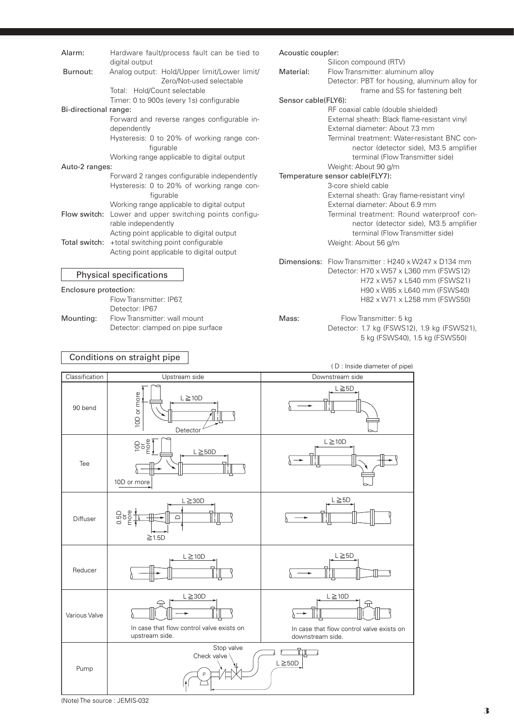| Alarm:                | Hardware fault/process fault can be tied to             | Acoustic coupler:   |                                                                                        |
|-----------------------|---------------------------------------------------------|---------------------|----------------------------------------------------------------------------------------|
|                       | digital output                                          |                     | Silicon compound (RTV)                                                                 |
| Burnout:              | Analog output: Hold/Upper limit/Lower limit/            | Material:           | Flow Transmitter: aluminum alloy                                                       |
|                       | Zero/Not-used selectable                                |                     | Detector: PBT for housing, aluminum alloy for                                          |
|                       | Total: Hold/Count selectable                            |                     | frame and SS for fastening belt                                                        |
|                       | Timer: 0 to 900s (every 1s) configurable                | Sensor cable(FLY6): |                                                                                        |
| Bi-directional range: |                                                         |                     | RF coaxial cable (double shielded)                                                     |
|                       | Forward and reverse ranges configurable in-             |                     | External sheath: Black flame-resistant vinyl                                           |
|                       | dependently                                             |                     | External diameter: About 7.3 mm                                                        |
|                       | Hysteresis: 0 to 20% of working range con-<br>figurable |                     | Terminal treatment: Water-resistant BNC con-<br>nector (detector side), M3.5 amplifier |
|                       | Working range applicable to digital output              |                     | terminal (Flow Transmitter side)                                                       |
| Auto-2 ranges:        |                                                         |                     | Weight: About 90 g/m                                                                   |
|                       | Forward 2 ranges configurable independently             |                     | Temperature sensor cable(FLY7):                                                        |
|                       | Hysteresis: 0 to 20% of working range con-              |                     | 3-core shield cable                                                                    |
|                       | figurable                                               |                     | External sheath: Gray flame-resistant vinyl                                            |
|                       | Working range applicable to digital output              |                     | External diameter: About 6.9 mm                                                        |
|                       | Flow switch: Lower and upper switching points configu-  |                     | Terminal treatment: Round waterproof con-                                              |
|                       | rable independently                                     |                     | nector (detector side), M3.5 amplifier                                                 |
|                       | Acting point applicable to digital output               |                     | terminal (Flow Transmitter side)                                                       |
|                       | Total switch: +total switching point configurable       |                     | Weight: About 56 g/m                                                                   |
|                       | Acting point applicable to digital output               |                     |                                                                                        |
|                       |                                                         |                     | <b>Dimensions:</b> Flow Transmitter: H240 x W247 x D134 mm                             |
|                       |                                                         |                     | Detector: H70 x W57 x L360 mm (FSWS12)                                                 |
|                       | <b>Physical specifications</b>                          |                     | H72 x W57 x L540 mm (FSWS21)                                                           |
| Enclosure protection: |                                                         |                     | H90 x W85 x L640 mm (FSWS40)                                                           |
|                       | Flow Transmitter: IP67,                                 |                     | H82 x W71 x L258 mm (FSWS50)                                                           |
|                       | Detector: IP67                                          |                     |                                                                                        |
| Mounting:             | Flow Transmitter: wall mount                            | Mass:               | Flow Transmitter: 5 kg                                                                 |

#### Conditions on straight pipe

Detector: clamped on pipe surface

( D : Inside diameter of pipe) Classification | Upstream side | Downstream side Downstream side  $L \geq 5D$ 10D or more 10D or more  $L \geq 10D$ 90 bend Detector  $\overline{a}$   $\overline{b}$   $\overline{c}$   $\overline{c}$   $\overline{c}$   $\overline{c}$  10D or more  $L \ge 10D$  $L \geq 50D$ Tee  $L \geq 5D$  $\geq$  30D more 0.5<br>0.5 Diffuser  $\subset$  $\geq 1.5D$  $L \geq 5D$  $L \geq 10D$ Reducer  $\geq$ 30D L  $\geq$ 10D Various Valve  $\langle$ In case that flow control valve exists on In case that flow control valve exists on upstream side. downstream side. Stop valve  $\mathbb{T}$  in  $\mathbb{T}$  $\sigma$  $\overline{\phantom{a}}$ Check valve  $L \geq 50D$ Pump P

Detector: 1.7 kg (FSWS12), 1.9 kg (FSWS21), 5 kg (FSWS40), 1.5 kg (FSWS50)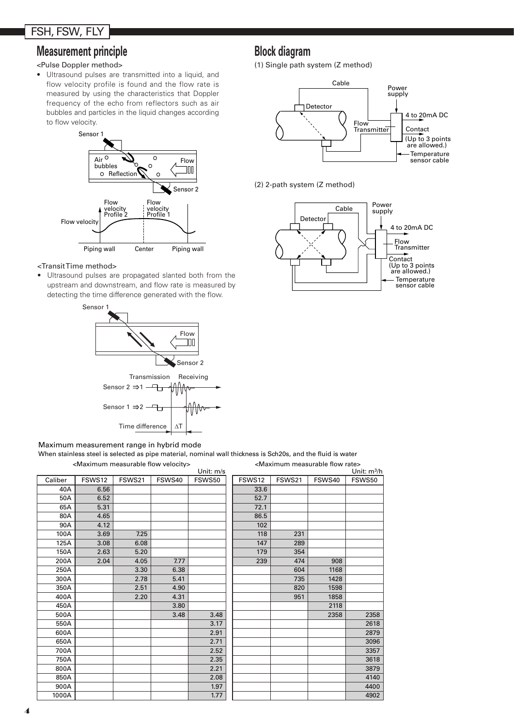# FSH, FSW, FLY

# **Measurement principle Block diagram**

#### <Pulse Doppler method>

• Ultrasound pulses are transmitted into a liquid, and flow velocity profile is found and the flow rate is measured by using the characteristics that Doppler frequency of the echo from reflectors such as air bubbles and particles in the liquid changes according to flow velocity.



#### <Transit Time method>

• Ultrasound pulses are propagated slanted both from the upstream and downstream, and flow rate is measured by detecting the time difference generated with the flow.



#### Maximum measurement range in hybrid mode

When stainless steel is selected as pipe material, nominal wall thickness is Sch20s, and the fluid is water

<Maximum measurable flow velocity>

|         |        |        |        | Unit: m/s |        |        |        | Unit: m <sup>3</sup> /h |
|---------|--------|--------|--------|-----------|--------|--------|--------|-------------------------|
| Caliber | FSWS12 | FSWS21 | FSWS40 | FSWS50    | FSWS12 | FSWS21 | FSWS40 | FSWS50                  |
| 40A     | 6.56   |        |        |           | 33.6   |        |        |                         |
| 50A     | 6.52   |        |        |           | 52.7   |        |        |                         |
| 65A     | 5.31   |        |        |           | 72.1   |        |        |                         |
| 80A     | 4.65   |        |        |           | 86.5   |        |        |                         |
| 90A     | 4.12   |        |        |           | 102    |        |        |                         |
| 100A    | 3.69   | 7.25   |        |           | 118    | 231    |        |                         |
| 125A    | 3.08   | 6.08   |        |           | 147    | 289    |        |                         |
| 150A    | 2.63   | 5.20   |        |           | 179    | 354    |        |                         |
| 200A    | 2.04   | 4.05   | 7.77   |           | 239    | 474    | 908    |                         |
| 250A    |        | 3.30   | 6.38   |           |        | 604    | 1168   |                         |
| 300A    |        | 2.78   | 5.41   |           |        | 735    | 1428   |                         |
| 350A    |        | 2.51   | 4.90   |           |        | 820    | 1598   |                         |
| 400A    |        | 2.20   | 4.31   |           |        | 951    | 1858   |                         |
| 450A    |        |        | 3.80   |           |        |        | 2118   |                         |
| 500A    |        |        | 3.48   | 3.48      |        |        | 2358   | 2358                    |
| 550A    |        |        |        | 3.17      |        |        |        | 2618                    |
| 600A    |        |        |        | 2.91      |        |        |        | 2879                    |
| 650A    |        |        |        | 2.71      |        |        |        | 3096                    |
| 700A    |        |        |        | 2.52      |        |        |        | 3357                    |
| 750A    |        |        |        | 2.35      |        |        |        | 3618                    |
| 800A    |        |        |        | 2.21      |        |        |        | 3879                    |
| 850A    |        |        |        | 2.08      |        |        |        | 4140                    |
| 900A    |        |        |        | 1.97      |        |        |        | 4400                    |
| 1000A   |        |        |        | 1.77      |        |        |        | 4902                    |

(1) Single path system (Z method)



(2) 2-path system (Z method)

<Maximum measurable flow rate>

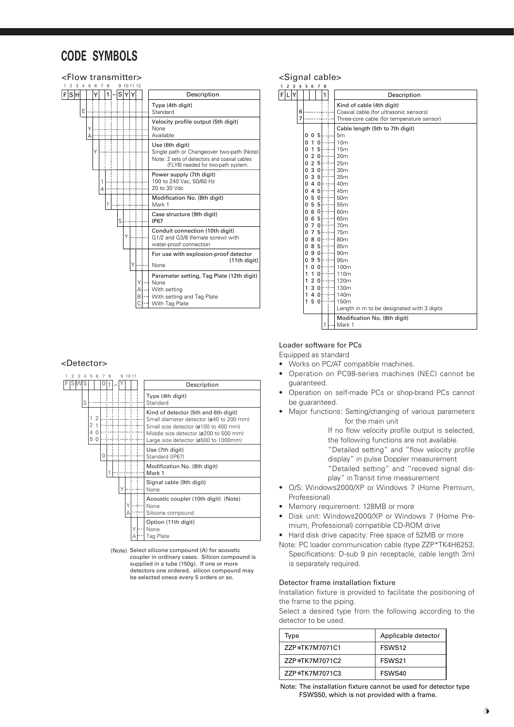# **CODE SYMBOLS**



#### <Detector>



(Note) Select silicone compound (A) for acoustic coupler in ordinary cases. Silicon compound is supplied in a tube (150g). If one or more detectors one ordered, silicon compound may be selected onece every 5 orders or so.

#### <Signal cable>

| 1   | $\boldsymbol{2}$ | $3\quad 4$ |        | 5                                                                                                                         | 6                                                                                                                                                                                                                 | $\overline{7}$                                                                                                                                                                                                         | 8 |                                                                                                                                                                                                                                                                                                                                                         |
|-----|------------------|------------|--------|---------------------------------------------------------------------------------------------------------------------------|-------------------------------------------------------------------------------------------------------------------------------------------------------------------------------------------------------------------|------------------------------------------------------------------------------------------------------------------------------------------------------------------------------------------------------------------------|---|---------------------------------------------------------------------------------------------------------------------------------------------------------------------------------------------------------------------------------------------------------------------------------------------------------------------------------------------------------|
| FIL |                  | Y          |        |                                                                                                                           |                                                                                                                                                                                                                   |                                                                                                                                                                                                                        | 1 | Description                                                                                                                                                                                                                                                                                                                                             |
|     |                  |            | 6<br>7 |                                                                                                                           |                                                                                                                                                                                                                   |                                                                                                                                                                                                                        |   | Kind of cable (4th digit)<br>Coaxial cable (for ultrasonic sensors)<br>Three-core cable (for temperature sensor)                                                                                                                                                                                                                                        |
|     |                  |            |        | 0<br>0<br>0<br>0<br>0<br>0<br>0<br>0<br>0<br>0<br>0<br>0<br>0<br>0<br>0<br>0<br>0<br>0<br>0<br>1<br>1<br>1<br>1<br>1<br>1 | 0<br>1<br>1<br>$\overline{2}$<br>$\sqrt{2}$<br>3<br>3<br>$\overline{4}$<br>$\overline{4}$<br>5<br>5<br>6<br>6<br>$\overline{7}$<br>$\overline{7}$<br>8<br>85<br>9<br>9<br>0<br>1<br>$\overline{2}$<br>3<br>4<br>5 | 5<br>0<br>5<br>$\mathbf 0$<br>5<br>$\mathbf 0$<br>5<br>$\mathbf 0$<br>5<br>$\mathbf 0$<br>5<br>0<br>5<br>0<br>5<br>$\mathbf 0$<br>$\mathbf 0$<br>5<br>$\mathbf 0$<br>$\mathbf 0$<br>$\pmb{0}$<br>0<br>$\mathbf 0$<br>0 |   | Cable length (5th to 7th digit)<br>5m<br>10 <sub>m</sub><br>15 <sub>m</sub><br>20 <sub>m</sub><br>25m<br>30 <sub>m</sub><br>35m<br>40 <sub>m</sub><br>45m<br>50 <sub>m</sub><br>55m<br>60 <sub>m</sub><br>65m<br>70 <sub>m</sub><br>75 <sub>m</sub><br>80 <sub>m</sub><br>85m<br>90 <sub>m</sub><br>95m<br>100m<br>110m<br>120m<br>130m<br>140m<br>150m |
|     |                  |            |        |                                                                                                                           |                                                                                                                                                                                                                   |                                                                                                                                                                                                                        | 1 | Length in m to be designated with 3 digits<br>Modification No. (8th digit)<br>Mark 1                                                                                                                                                                                                                                                                    |

#### Loader software for PCs

Equipped as standard

- • Works on PC/AT compatible machines.
- Operation on PC98-series machines (NEC) cannot be guaranteed.
- Operation on self-made PCs or shop-brand PCs cannot be guaranteed.
- Major functions: Setting/changing of various parameters for the main unit

If no flow velocity profile output is selected,

the following functions are not available.

"Detailed setting" and "flow velocity profile

display" in pulse Doppler measurement

- "Detailed setting" and "receved signal display" in Transit time measurement
- O/S: Windows2000/XP or Windows 7 (Home Premium, Professional)
- Memory requirement: 128MB or more
- Disk unit: Windows2000/XP or Windows 7 (Home Premium, Professional) compatible CD-ROM drive
- Hard disk drive capacity: Free space of 52MB or more
- Note: PC loader communication cable (type ZZP\*TK4H6253, Specifications: D-sub 9 pin receptacle, cable length 3m) is separately required.

#### Detector frame installation fixture

Installation fixture is provided to facilitate the positioning of the frame to the piping.

Select a desired type from the following according to the detector to be used.

| Type           | Applicable detector |
|----------------|---------------------|
| ZZP*TK7M7071C1 | FSWS <sub>12</sub>  |
| 77P*TK7M7071C2 | FSWS <sub>21</sub>  |
| 77P*TK7M7071C3 | FSWS40              |

Note: The installation fixture cannot be used for detector type FSWS50, which is not provided with a frame.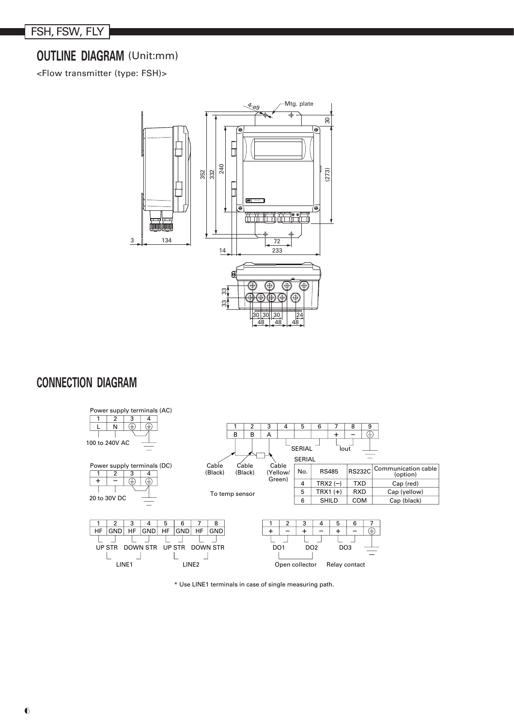# **OUTLINE DIAGRAM** (Unit:mm)

<Flow transmitter (type: FSH)>



# **CONNECTION DIAGRAM**



\* Use LINE1 terminals in case of single measuring path.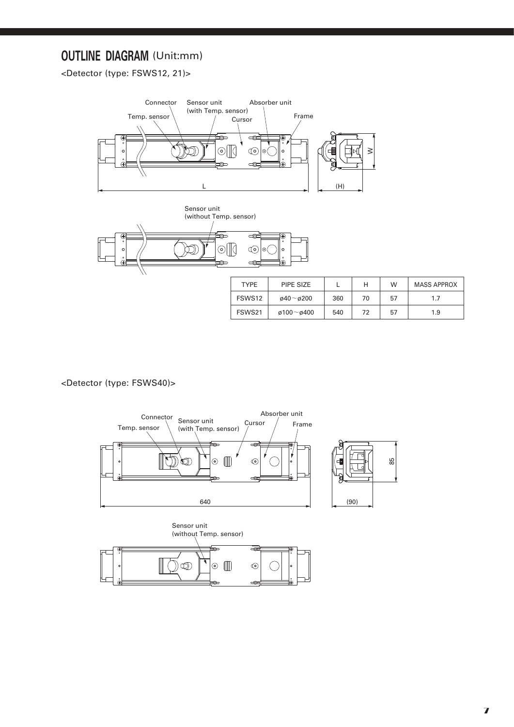# **OUTLINE DIAGRAM** (Unit:mm)

<Detector (type: FSWS12, 21)>





| <b>TYPE</b> | PIPE SIZE                 |     | н  | W  | <b>MASS APPROX</b> |
|-------------|---------------------------|-----|----|----|--------------------|
| FSWS12      | $\omega$ 40~ $\omega$ 200 | 360 | 70 | 57 | 1.7                |
| FSWS21      | ø100~ø400                 | 540 | 72 | 57 | 1.9                |

<Detector (type: FSWS40)>



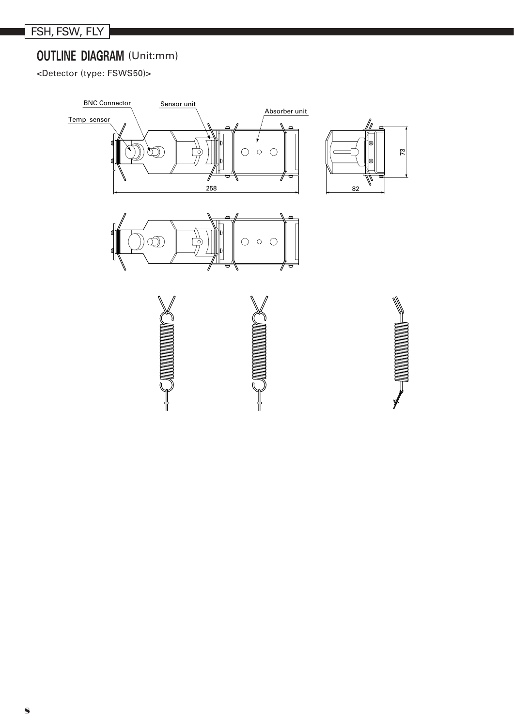# **OUTLINE DIAGRAM** (Unit:mm)

<Detector (type: FSWS50)>

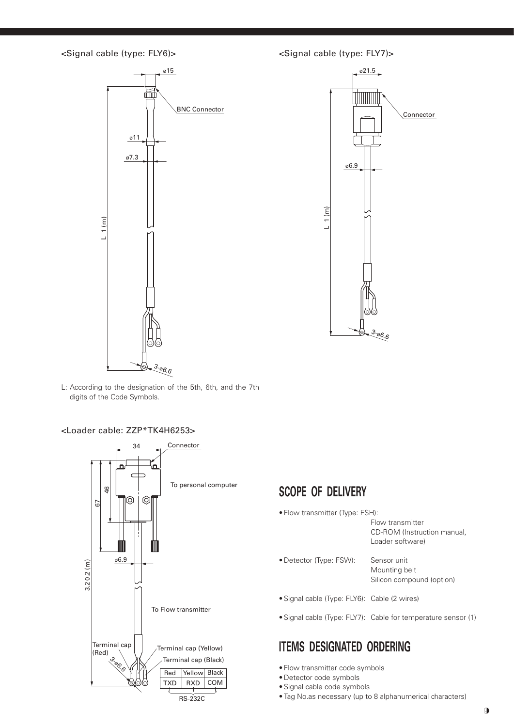



L: According to the designation of the 5th, 6th, and the 7th digits of the Code Symbols.

<Loader cable: ZZP\*TK4H6253>



# **SCOPE OF DELIVERY**

- • Flow transmitter (Type: FSH):
	- Flow transmitter CD-ROM (Instruction manual, Loader software)
- Detector (Type: FSW): Sensor unit
	- Mounting belt Silicon compound (option)
- Signal cable (Type: FLY6): Cable (2 wires)
- Signal cable (Type: FLY7): Cable for temperature sensor (1)

# **ITEMS DESIGNATED ORDERING**

- Flow transmitter code symbols
- • Detector code symbols
- • Signal cable code symbols
- • Tag No.as necessary (up to 8 alphanumerical characters)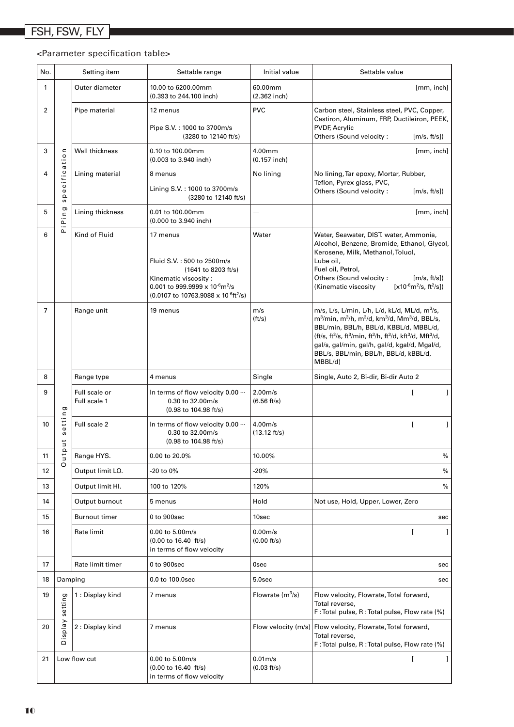### <Parameter specification table>

| No.            |                                                    | Setting item                  | Settable range                                                                                                                                                                                                    | Initial value                      | Settable value                                                                                                                                                                                                                                                                                                                                                                                            |
|----------------|----------------------------------------------------|-------------------------------|-------------------------------------------------------------------------------------------------------------------------------------------------------------------------------------------------------------------|------------------------------------|-----------------------------------------------------------------------------------------------------------------------------------------------------------------------------------------------------------------------------------------------------------------------------------------------------------------------------------------------------------------------------------------------------------|
| 1              |                                                    | Outer diameter                | 10.00 to 6200.00mm<br>(0.393 to 244.100 inch)                                                                                                                                                                     | 60.00mm<br>$(2.362$ inch)          | [mm, inch]                                                                                                                                                                                                                                                                                                                                                                                                |
| $\overline{2}$ |                                                    | Pipe material                 | 12 menus<br>Pipe S.V.: 1000 to 3700m/s<br>(3280 to 12140 ft/s)                                                                                                                                                    | <b>PVC</b>                         | Carbon steel, Stainless steel, PVC, Copper,<br>Castiron, Aluminum, FRP, Ductileiron, PEEK,<br><b>PVDF, Acrylic</b><br>Others (Sound velocity:<br>[m/s, ft/s])                                                                                                                                                                                                                                             |
| 3              | $\subset$<br>$\circ$<br>ati                        | Wall thickness                | 0.10 to 100.00mm<br>(0.003 to 3.940 inch)                                                                                                                                                                         | 4.00mm<br>$(0.157$ inch)           | [mm, inch]                                                                                                                                                                                                                                                                                                                                                                                                |
| 4              | cific;<br>$\pmb{\omega}$<br>$\mathbf{\Omega}$<br>S | Lining material               | 8 menus<br>Lining S.V.: 1000 to 3700m/s<br>(3280 to 12140 ft/s)                                                                                                                                                   | No lining                          | No lining, Tar epoxy, Mortar, Rubber,<br>Teflon, Pyrex glass, PVC,<br>Others (Sound velocity:<br>[m/s, ft/s])                                                                                                                                                                                                                                                                                             |
| 5              | g<br>ni<br>A                                       | Lining thickness              | 0.01 to 100.00mm<br>(0.000 to 3.940 inch)                                                                                                                                                                         |                                    | [mm, inch]                                                                                                                                                                                                                                                                                                                                                                                                |
| 6              | 눈<br>Kind of Fluid                                 |                               | 17 menus<br>Fluid S.V.: 500 to 2500m/s<br>(1641 to 8203 ft/s)<br>Kinematic viscosity:<br>0.001 to 999.9999 x $10^{-6}$ m <sup>2</sup> /s<br>$(0.0107 \text{ to } 10763.9088 \times 10^{-6} \text{ft}^2/\text{s})$ | Water                              | Water, Seawater, DIST. water, Ammonia,<br>Alcohol, Benzene, Bromide, Ethanol, Glycol,<br>Kerosene, Milk, Methanol, Toluol,<br>Lube oil,<br>Fuel oil, Petrol,<br>Others (Sound velocity:<br>[m/s, ft/s])<br>$[x10^{-6}m^2/s, ft^2/s]$<br>(Kinematic viscosity                                                                                                                                              |
| 7              |                                                    | Range unit                    | 19 menus                                                                                                                                                                                                          | m/s<br>(ft/s)                      | m/s, L/s, L/min, L/h, L/d, kL/d, ML/d, m $3$ /s,<br>$m^3/m$ in, m $^3/h$ , m $^3/d$ , km $^3/d$ , Mm $^3/d$ , BBL/s,<br>BBL/min, BBL/h, BBL/d, KBBL/d, MBBL/d,<br>(ft/s, ft <sup>3</sup> /s, ft <sup>3</sup> /min, ft <sup>3</sup> /h, ft <sup>3</sup> /d, kft <sup>3</sup> /d, Mft <sup>3</sup> /d,<br>gal/s, gal/min, gal/h, gal/d, kgal/d, Mgal/d,<br>BBL/s, BBL/min, BBL/h, BBL/d, kBBL/d,<br>MBBL/d) |
| 8              |                                                    | Range type                    | 4 menus                                                                                                                                                                                                           | Single                             | Single, Auto 2, Bi-dir, Bi-dir Auto 2                                                                                                                                                                                                                                                                                                                                                                     |
| 9              | g                                                  | Full scale or<br>Full scale 1 | In terms of flow velocity 0.00<br>0.30 to 32.00m/s<br>$(0.98 \text{ to } 104.98 \text{ ft/s})$                                                                                                                    | 2.00 <sub>m/s</sub><br>(6.56 ft/s) |                                                                                                                                                                                                                                                                                                                                                                                                           |
| 10             | etting<br>S<br>$\frac{1}{2}$                       | Full scale 2                  | In terms of flow velocity 0.00<br>0.30 to 32.00m/s<br>$(0.98 \text{ to } 104.98 \text{ ft/s})$                                                                                                                    | 4.00m/s<br>$(13.12 \text{ ft/s})$  | $\overline{[}$                                                                                                                                                                                                                                                                                                                                                                                            |
| 11             | $\mathbf{\Omega}$<br>$\overline{a}$                | Range HYS.                    | 0.00 to 20.0%                                                                                                                                                                                                     | 10.00%                             | %                                                                                                                                                                                                                                                                                                                                                                                                         |
| 12             | $\circ$                                            | Output limit LO.              | -20 to 0%                                                                                                                                                                                                         | $-20%$                             | $\%$                                                                                                                                                                                                                                                                                                                                                                                                      |
| 13             |                                                    | Output limit Hl.              | 100 to 120%                                                                                                                                                                                                       | 120%                               | $\%$                                                                                                                                                                                                                                                                                                                                                                                                      |
| 14             |                                                    | Output burnout                | 5 menus                                                                                                                                                                                                           | Hold                               | Not use, Hold, Upper, Lower, Zero                                                                                                                                                                                                                                                                                                                                                                         |
| 15             |                                                    | <b>Burnout timer</b>          | 0 to 900sec                                                                                                                                                                                                       | 10sec                              | sec                                                                                                                                                                                                                                                                                                                                                                                                       |
| 16             |                                                    | Rate limit                    | 0.00 to 5.00m/s<br>$(0.00 \text{ to } 16.40 \text{ ft/s})$<br>in terms of flow velocity                                                                                                                           | $0.00m$ /s<br>(0.00 ft/s)          | f                                                                                                                                                                                                                                                                                                                                                                                                         |
| 17             |                                                    | Rate limit timer              | 0 to 900sec                                                                                                                                                                                                       | 0sec                               | sec                                                                                                                                                                                                                                                                                                                                                                                                       |
| 18             | Damping                                            |                               | 0.0 to 100.0sec                                                                                                                                                                                                   | 5.0sec                             | sec                                                                                                                                                                                                                                                                                                                                                                                                       |
| 19             | setting                                            | 1: Display kind               | 7 menus                                                                                                                                                                                                           | Flowrate $(m^3/s)$                 | Flow velocity, Flowrate, Total forward,<br>Total reverse,<br>F: Total pulse, R: Total pulse, Flow rate (%)                                                                                                                                                                                                                                                                                                |
| 20             | Veldsig                                            | 2 : Display kind              | 7 menus                                                                                                                                                                                                           | Flow velocity (m/s)                | Flow velocity, Flowrate, Total forward,<br>Total reverse,<br>F: Total pulse, R: Total pulse, Flow rate (%)                                                                                                                                                                                                                                                                                                |
| 21             |                                                    | Low flow cut                  | 0.00 to 5.00m/s<br>$(0.00 \text{ to } 16.40 \text{ ft/s})$<br>in terms of flow velocity                                                                                                                           | $0.01m$ /s<br>(0.03 ft/s)          |                                                                                                                                                                                                                                                                                                                                                                                                           |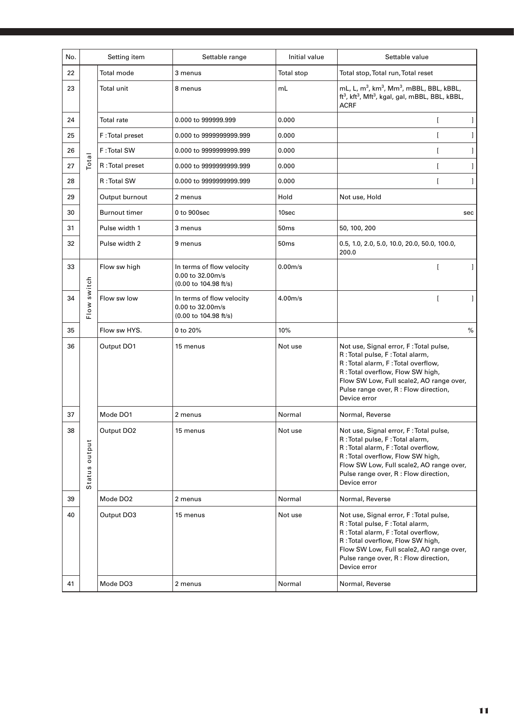| No. | Setting item     |                        | Settable range                                                                            | Initial value    | Settable value                                                                                                                                                                                                                                           |
|-----|------------------|------------------------|-------------------------------------------------------------------------------------------|------------------|----------------------------------------------------------------------------------------------------------------------------------------------------------------------------------------------------------------------------------------------------------|
| 22  |                  | Total mode             | 3 menus                                                                                   | Total stop       | Total stop, Total run, Total reset                                                                                                                                                                                                                       |
| 23  | Total            | Total unit             | 8 menus                                                                                   | mL               | mL, L, m <sup>3</sup> , km <sup>3</sup> , Mm <sup>3</sup> , mBBL, BBL, kBBL,<br>ft <sup>3</sup> , kft <sup>3</sup> , Mft <sup>3</sup> , kgal, gal, mBBL, BBL, kBBL,<br><b>ACRF</b>                                                                       |
| 24  |                  | Total rate             | 0.000 to 999999.999                                                                       | 0.000            | ſ                                                                                                                                                                                                                                                        |
| 25  |                  | F: Total preset        | 0.000 to 9999999999.999                                                                   | 0.000            |                                                                                                                                                                                                                                                          |
| 26  |                  | F: Total SW            | 0.000 to 9999999999.999                                                                   | 0.000            | ſ                                                                                                                                                                                                                                                        |
| 27  |                  | R: Total preset        | 0.000 to 9999999999.999                                                                   | 0.000            |                                                                                                                                                                                                                                                          |
| 28  |                  | R: Total SW            | 0.000 to 9999999999.999                                                                   | 0.000            | ſ                                                                                                                                                                                                                                                        |
| 29  |                  | Output burnout         | 2 menus                                                                                   | Hold             | Not use, Hold                                                                                                                                                                                                                                            |
| 30  |                  | <b>Burnout timer</b>   | 0 to 900sec                                                                               | 10sec            | sec                                                                                                                                                                                                                                                      |
| 31  |                  | Pulse width 1          | 3 menus                                                                                   | 50 <sub>ms</sub> | 50, 100, 200                                                                                                                                                                                                                                             |
| 32  |                  | Pulse width 2          | 9 menus                                                                                   | 50 <sub>ms</sub> | 0.5, 1.0, 2.0, 5.0, 10.0, 20.0, 50.0, 100.0,<br>200.0                                                                                                                                                                                                    |
| 33  | switch<br>Flow   | Flow sw high           | In terms of flow velocity<br>0.00 to 32.00m/s<br>(0.00 to 104.98 ft/s)                    | $0.00m$ /s       |                                                                                                                                                                                                                                                          |
| 34  |                  | Flow sw low            | In terms of flow velocity<br>0.00 to 32.00m/s<br>$(0.00 \text{ to } 104.98 \text{ ft/s})$ | $4.00m$ /s       | ſ                                                                                                                                                                                                                                                        |
| 35  |                  | Flow sw HYS.           | 0 to 20%                                                                                  | 10%              | %                                                                                                                                                                                                                                                        |
| 36  |                  | Output DO1             | 15 menus                                                                                  | Not use          | Not use, Signal error, F: Total pulse,<br>R: Total pulse, F: Total alarm,<br>R: Total alarm, F: Total overflow,<br>R: Total overflow, Flow SW high,<br>Flow SW Low, Full scale2, AO range over,<br>Pulse range over, R : Flow direction,<br>Device error |
| 37  |                  | Mode DO1               | 2 menus                                                                                   | Normal           | Normal, Reverse                                                                                                                                                                                                                                          |
| 38  | output<br>Status | Output DO <sub>2</sub> | 15 menus                                                                                  | Not use          | Not use, Signal error, F: Total pulse,<br>R: Total pulse, F: Total alarm,<br>R: Total alarm, F: Total overflow,<br>R: Total overflow, Flow SW high,<br>Flow SW Low, Full scale2, AO range over,<br>Pulse range over, R : Flow direction,<br>Device error |
| 39  |                  | Mode DO <sub>2</sub>   | 2 menus                                                                                   | Normal           | Normal, Reverse                                                                                                                                                                                                                                          |
| 40  |                  | Output DO3             | 15 menus                                                                                  | Not use          | Not use, Signal error, F: Total pulse,<br>R: Total pulse, F: Total alarm,<br>R: Total alarm, F: Total overflow,<br>R: Total overflow, Flow SW high,<br>Flow SW Low, Full scale2, AO range over,<br>Pulse range over, R : Flow direction,<br>Device error |
| 41  |                  | Mode DO3               | 2 menus                                                                                   | Normal           | Normal, Reverse                                                                                                                                                                                                                                          |